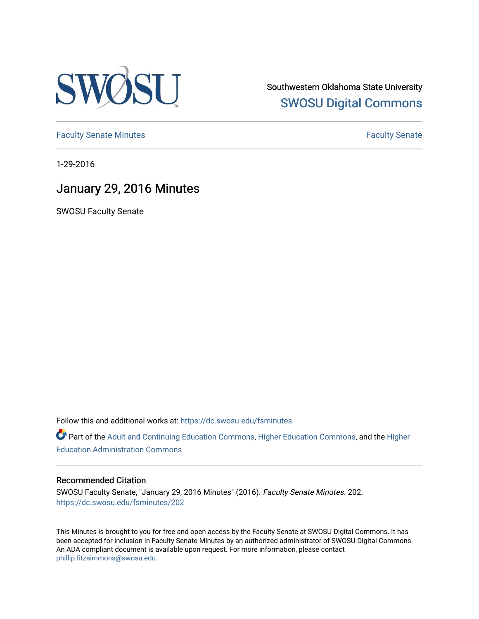

Southwestern Oklahoma State University [SWOSU Digital Commons](https://dc.swosu.edu/) 

[Faculty Senate Minutes](https://dc.swosu.edu/fsminutes) **Faculty** Senate Minutes

1-29-2016

# January 29, 2016 Minutes

SWOSU Faculty Senate

Follow this and additional works at: [https://dc.swosu.edu/fsminutes](https://dc.swosu.edu/fsminutes?utm_source=dc.swosu.edu%2Ffsminutes%2F202&utm_medium=PDF&utm_campaign=PDFCoverPages) 

Part of the [Adult and Continuing Education Commons,](http://network.bepress.com/hgg/discipline/1375?utm_source=dc.swosu.edu%2Ffsminutes%2F202&utm_medium=PDF&utm_campaign=PDFCoverPages) [Higher Education Commons,](http://network.bepress.com/hgg/discipline/1245?utm_source=dc.swosu.edu%2Ffsminutes%2F202&utm_medium=PDF&utm_campaign=PDFCoverPages) and the [Higher](http://network.bepress.com/hgg/discipline/791?utm_source=dc.swosu.edu%2Ffsminutes%2F202&utm_medium=PDF&utm_campaign=PDFCoverPages) [Education Administration Commons](http://network.bepress.com/hgg/discipline/791?utm_source=dc.swosu.edu%2Ffsminutes%2F202&utm_medium=PDF&utm_campaign=PDFCoverPages) 

#### Recommended Citation

SWOSU Faculty Senate, "January 29, 2016 Minutes" (2016). Faculty Senate Minutes. 202. [https://dc.swosu.edu/fsminutes/202](https://dc.swosu.edu/fsminutes/202?utm_source=dc.swosu.edu%2Ffsminutes%2F202&utm_medium=PDF&utm_campaign=PDFCoverPages) 

This Minutes is brought to you for free and open access by the Faculty Senate at SWOSU Digital Commons. It has been accepted for inclusion in Faculty Senate Minutes by an authorized administrator of SWOSU Digital Commons. An ADA compliant document is available upon request. For more information, please contact [phillip.fitzsimmons@swosu.edu](mailto:phillip.fitzsimmons@swosu.edu).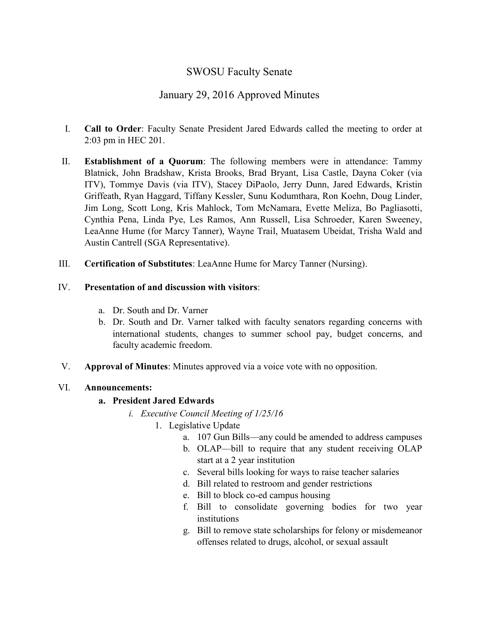### SWOSU Faculty Senate

## January 29, 2016 Approved Minutes

- I. **Call to Order**: Faculty Senate President Jared Edwards called the meeting to order at 2:03 pm in HEC 201.
- II. **Establishment of a Quorum**: The following members were in attendance: Tammy Blatnick, John Bradshaw, Krista Brooks, Brad Bryant, Lisa Castle, Dayna Coker (via ITV), Tommye Davis (via ITV), Stacey DiPaolo, Jerry Dunn, Jared Edwards, Kristin Griffeath, Ryan Haggard, Tiffany Kessler, Sunu Kodumthara, Ron Koehn, Doug Linder, Jim Long, Scott Long, Kris Mahlock, Tom McNamara, Evette Meliza, Bo Pagliasotti, Cynthia Pena, Linda Pye, Les Ramos, Ann Russell, Lisa Schroeder, Karen Sweeney, LeaAnne Hume (for Marcy Tanner), Wayne Trail, Muatasem Ubeidat, Trisha Wald and Austin Cantrell (SGA Representative).
- III. **Certification of Substitutes**: LeaAnne Hume for Marcy Tanner (Nursing).

### IV. **Presentation of and discussion with visitors**:

- a. Dr. South and Dr. Varner
- b. Dr. South and Dr. Varner talked with faculty senators regarding concerns with international students, changes to summer school pay, budget concerns, and faculty academic freedom.
- V. **Approval of Minutes**: Minutes approved via a voice vote with no opposition.

### VI. **Announcements:**

### **a. President Jared Edwards**

- *i. Executive Council Meeting of 1/25/16*
	- 1. Legislative Update
		- a. 107 Gun Bills—any could be amended to address campuses
		- b. OLAP—bill to require that any student receiving OLAP start at a 2 year institution
		- c. Several bills looking for ways to raise teacher salaries
		- d. Bill related to restroom and gender restrictions
		- e. Bill to block co-ed campus housing
		- f. Bill to consolidate governing bodies for two year institutions
		- g. Bill to remove state scholarships for felony or misdemeanor offenses related to drugs, alcohol, or sexual assault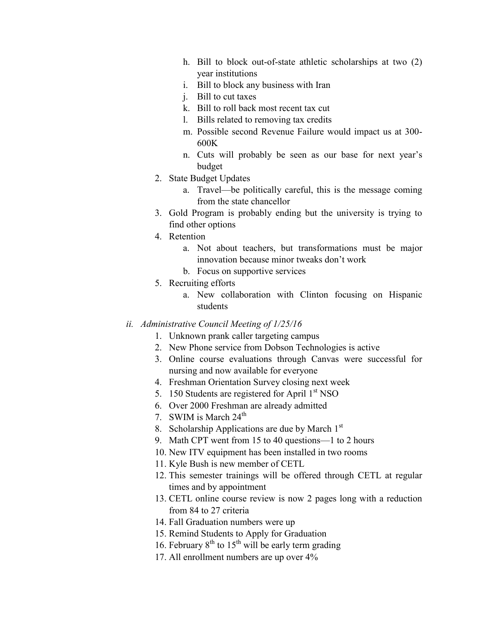- h. Bill to block out-of-state athletic scholarships at two (2) year institutions
- i. Bill to block any business with Iran
- j. Bill to cut taxes
- k. Bill to roll back most recent tax cut
- l. Bills related to removing tax credits
- m. Possible second Revenue Failure would impact us at 300- 600K
- n. Cuts will probably be seen as our base for next year's budget
- 2. State Budget Updates
	- a. Travel—be politically careful, this is the message coming from the state chancellor
- 3. Gold Program is probably ending but the university is trying to find other options
- 4. Retention
	- a. Not about teachers, but transformations must be major innovation because minor tweaks don't work
	- b. Focus on supportive services
- 5. Recruiting efforts
	- a. New collaboration with Clinton focusing on Hispanic students
- *ii. Administrative Council Meeting of 1/25/16*
	- 1. Unknown prank caller targeting campus
	- 2. New Phone service from Dobson Technologies is active
	- 3. Online course evaluations through Canvas were successful for nursing and now available for everyone
	- 4. Freshman Orientation Survey closing next week
	- 5. 150 Students are registered for April  $1<sup>st</sup> NSO$
	- 6. Over 2000 Freshman are already admitted
	- 7. SWIM is March  $24<sup>th</sup>$
	- 8. Scholarship Applications are due by March  $1<sup>st</sup>$
	- 9. Math CPT went from 15 to 40 questions—1 to 2 hours
	- 10. New ITV equipment has been installed in two rooms
	- 11. Kyle Bush is new member of CETL
	- 12. This semester trainings will be offered through CETL at regular times and by appointment
	- 13. CETL online course review is now 2 pages long with a reduction from 84 to 27 criteria
	- 14. Fall Graduation numbers were up
	- 15. Remind Students to Apply for Graduation
	- 16. February  $8^{th}$  to  $15^{th}$  will be early term grading
	- 17. All enrollment numbers are up over 4%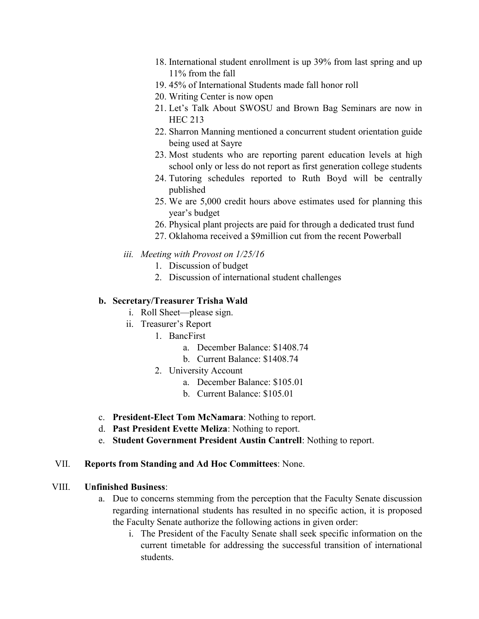- 18. International student enrollment is up 39% from last spring and up 11% from the fall
- 19. 45% of International Students made fall honor roll
- 20. Writing Center is now open
- 21. Let's Talk About SWOSU and Brown Bag Seminars are now in HEC 213
- 22. Sharron Manning mentioned a concurrent student orientation guide being used at Sayre
- 23. Most students who are reporting parent education levels at high school only or less do not report as first generation college students
- 24. Tutoring schedules reported to Ruth Boyd will be centrally published
- 25. We are 5,000 credit hours above estimates used for planning this year's budget
- 26. Physical plant projects are paid for through a dedicated trust fund
- 27. Oklahoma received a \$9million cut from the recent Powerball
- *iii. Meeting with Provost on 1/25/16*
	- 1. Discussion of budget
	- 2. Discussion of international student challenges

### **b. Secretary/Treasurer Trisha Wald**

- i. Roll Sheet—please sign.
- ii. Treasurer's Report
	- 1. BancFirst
		- a. December Balance: \$1408.74
		- b. Current Balance: \$1408.74
	- 2. University Account
		- a. December Balance: \$105.01
		- b. Current Balance: \$105.01
- c. **President-Elect Tom McNamara**: Nothing to report.
- d. **Past President Evette Meliza**: Nothing to report.
- e. **Student Government President Austin Cantrell**: Nothing to report.

#### VII. **Reports from Standing and Ad Hoc Committees**: None.

#### VIII. **Unfinished Business**:

- a. Due to concerns stemming from the perception that the Faculty Senate discussion regarding international students has resulted in no specific action, it is proposed the Faculty Senate authorize the following actions in given order:
	- i. The President of the Faculty Senate shall seek specific information on the current timetable for addressing the successful transition of international students.